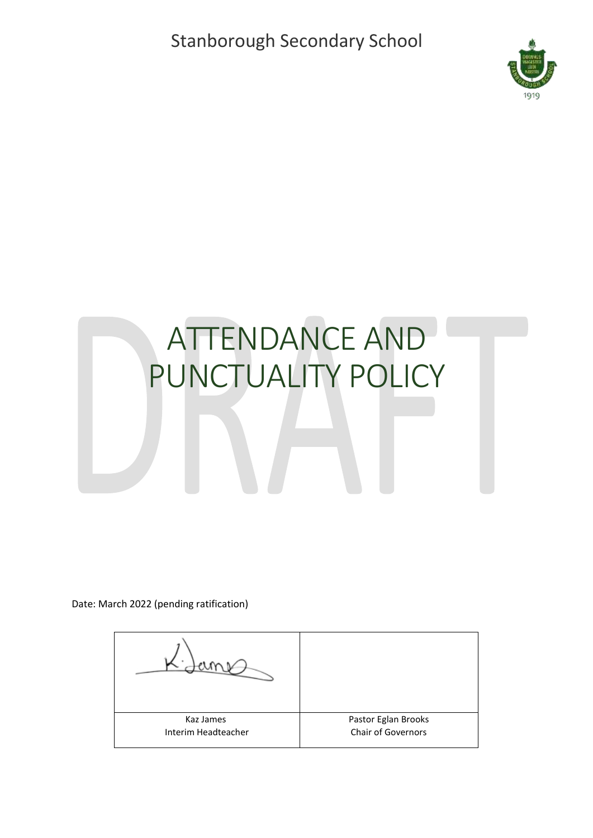Stanborough Secondary School



## ATTENDANCE AND PUNCTUALITY POLICY

Date: March 2022 (pending ratification)

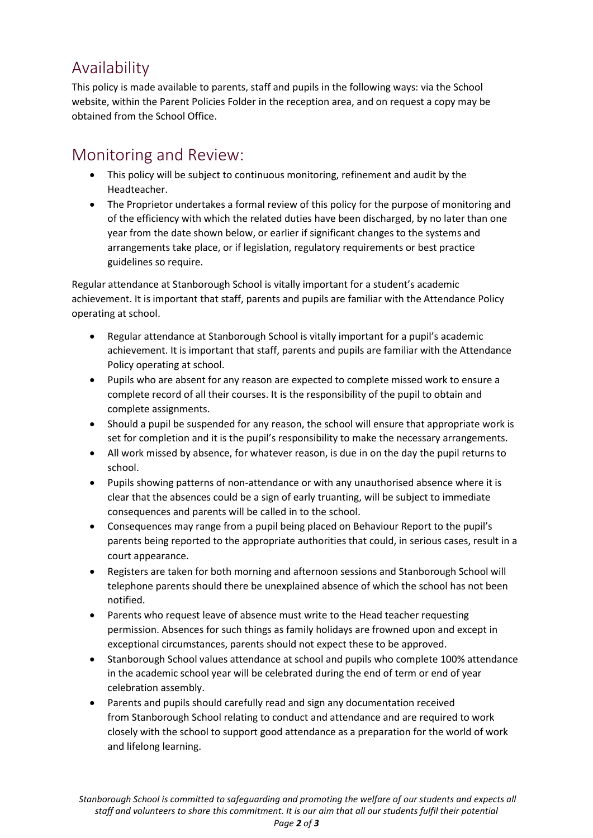## Availability

This policy is made available to parents, staff and pupils in the following ways: via the School website, within the Parent Policies Folder in the reception area, and on request a copy may be obtained from the School Office.

## Monitoring and Review:

- This policy will be subject to continuous monitoring, refinement and audit by the Headteacher.
- The Proprietor undertakes a formal review of this policy for the purpose of monitoring and of the efficiency with which the related duties have been discharged, by no later than one year from the date shown below, or earlier if significant changes to the systems and arrangements take place, or if legislation, regulatory requirements or best practice guidelines so require.

Regular attendance at Stanborough School is vitally important for a student's academic achievement. It is important that staff, parents and pupils are familiar with the Attendance Policy operating at school.

- Regular attendance at Stanborough School is vitally important for a pupil's academic achievement. It is important that staff, parents and pupils are familiar with the Attendance Policy operating at school.
- Pupils who are absent for any reason are expected to complete missed work to ensure a complete record of all their courses. It is the responsibility of the pupil to obtain and complete assignments.
- Should a pupil be suspended for any reason, the school will ensure that appropriate work is set for completion and it is the pupil's responsibility to make the necessary arrangements.
- All work missed by absence, for whatever reason, is due in on the day the pupil returns to school.
- Pupils showing patterns of non-attendance or with any unauthorised absence where it is clear that the absences could be a sign of early truanting, will be subject to immediate consequences and parents will be called in to the school.
- Consequences may range from a pupil being placed on Behaviour Report to the pupil's parents being reported to the appropriate authorities that could, in serious cases, result in a court appearance.
- Registers are taken for both morning and afternoon sessions and Stanborough School will telephone parents should there be unexplained absence of which the school has not been notified.
- Parents who request leave of absence must write to the Head teacher requesting permission. Absences for such things as family holidays are frowned upon and except in exceptional circumstances, parents should not expect these to be approved.
- Stanborough School values attendance at school and pupils who complete 100% attendance in the academic school year will be celebrated during the end of term or end of year celebration assembly.
- Parents and pupils should carefully read and sign any documentation received from Stanborough School relating to conduct and attendance and are required to work closely with the school to support good attendance as a preparation for the world of work and lifelong learning.